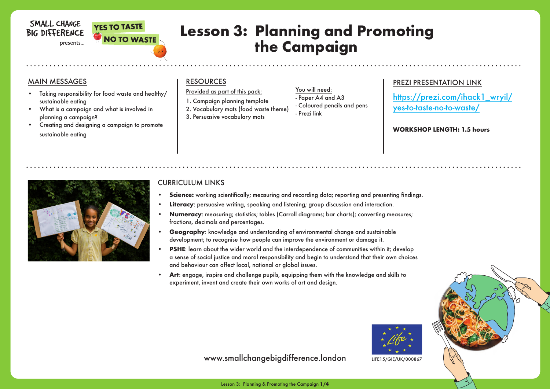### SMALL CHANGE **BIG DIFFERENCE**

#### presents...



## **Lesson 3: Planning and Promoting the Campaign**

- Prezi link

#### MAIN MESSAGES

- Taking responsibility for food waste and healthy/ sustainable eating
- What is a campaign and what is involved in planning a campaign?
- Creating and designing a campaign to promote sustainable eating

#### **RESOURCES**

#### Provided as part of this pack:

- 1. Campaign planning template
- 2. Vocabulary mats (food waste theme) 3. Persuasive vocabulary mats
- You will need: - Paper A4 and A3 - Coloured pencils and pens

## PREZI PRESENTATION LINK

https://prezi.com/ihack1\_wryil/ yes-to-taste-no-to-waste/

**WORKSHOP LENGTH: 1.5 hours**



#### CURRICULUM LINKS

- **Science:** working scientifically; measuring and recording data; reporting and presenting findings.
- **Literacy**: persuasive writing, speaking and listening; group discussion and interaction.
- **• Numeracy**: measuring; statistics; tables (Carroll diagrams; bar charts); converting measures; fractions, decimals and percentages.
- **Geography:** knowledge and understanding of environmental change and sustainable development; to recognise how people can improve the environment or damage it.
- **PSHE:** learn about the wider world and the interdependence of communities within it; develop a sense of social justice and moral responsibility and begin to understand that their own choices and behaviour can affect local, national or global issues.
- **• Art**: engage, inspire and challenge pupils, equipping them with the knowledge and skills to experiment, invent and create their own works of art and desian.



www.smallchangebigdifference.london LIFE15/GIE/UK/000867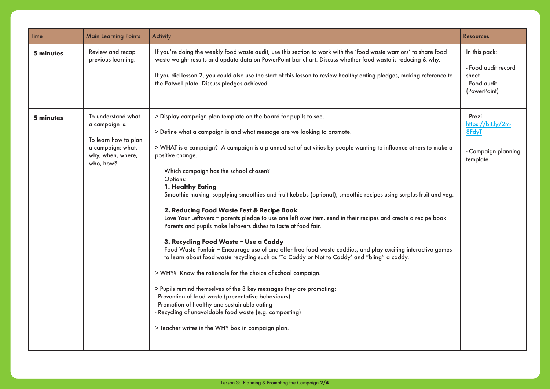| <b>Time</b> | <b>Main Learning Points</b>                                                                                         | <b>Activity</b>                                                                                                                                                                                                                                                                                                                                                                                                                                                                                                                                                                                                                                                                                                                                                                                                                                                                                                                                                                                                                                                                                                                                                                                                                                                                                                                             | <b>Resources</b>                                                              |
|-------------|---------------------------------------------------------------------------------------------------------------------|---------------------------------------------------------------------------------------------------------------------------------------------------------------------------------------------------------------------------------------------------------------------------------------------------------------------------------------------------------------------------------------------------------------------------------------------------------------------------------------------------------------------------------------------------------------------------------------------------------------------------------------------------------------------------------------------------------------------------------------------------------------------------------------------------------------------------------------------------------------------------------------------------------------------------------------------------------------------------------------------------------------------------------------------------------------------------------------------------------------------------------------------------------------------------------------------------------------------------------------------------------------------------------------------------------------------------------------------|-------------------------------------------------------------------------------|
| 5 minutes   | Review and recap<br>previous learning.                                                                              | If you're doing the weekly food waste audit, use this section to work with the 'food waste warriors' to share food<br>waste weight results and update data on PowerPoint bar chart. Discuss whether food waste is reducing & why.<br>If you did lesson 2, you could also use the start of this lesson to review healthy eating pledges, making reference to<br>the Eatwell plate. Discuss pledges achieved.                                                                                                                                                                                                                                                                                                                                                                                                                                                                                                                                                                                                                                                                                                                                                                                                                                                                                                                                 | In this pack:<br>- Food audit record<br>sheet<br>- Food audit<br>(PowerPoint) |
| 5 minutes   | To understand what<br>a campaign is.<br>To learn how to plan<br>a campaign: what,<br>why, when, where,<br>who, how? | > Display campaign plan template on the board for pupils to see.<br>> Define what a campaign is and what message are we looking to promote.<br>> WHAT is a campaign? A campaign is a planned set of activities by people wanting to influence others to make a<br>positive change.<br>Which campaign has the school chosen?<br>Options:<br>1. Healthy Eating<br>Smoothie making: supplying smoothies and fruit kebabs (optional); smoothie recipes using surplus fruit and veg.<br>2. Reducing Food Waste Fest & Recipe Book<br>Love Your Leftovers - parents pledge to use one left over item, send in their recipes and create a recipe book.<br>Parents and pupils make leftovers dishes to taste at food fair.<br>3. Recycling Food Waste - Use a Caddy<br>Food Waste Funfair - Encourage use of and offer free food waste caddies, and play exciting interactive games<br>to learn about food waste recycling such as 'To Caddy or Not to Caddy' and "bling" a caddy.<br>> WHY? Know the rationale for the choice of school campaign.<br>> Pupils remind themselves of the 3 key messages they are promoting:<br>- Prevention of food waste (preventative behaviours)<br>- Promotion of healthy and sustainable eating<br>- Recycling of unavoidable food waste (e.g. composting)<br>> Teacher writes in the WHY box in campaign plan. | - Prezi<br>https://bit.ly/2m-<br>8FdyT<br>- Campaign planning<br>template     |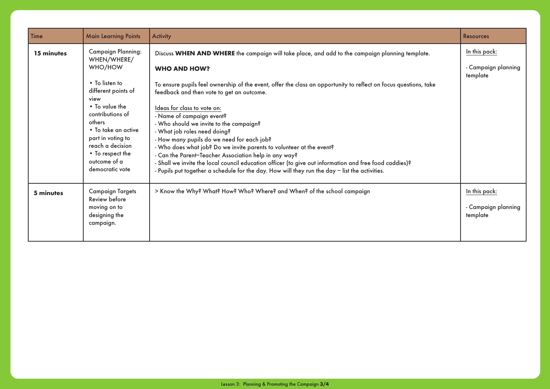| Time       | <b>Main Learning Points</b>                                                                                                                                                                                                                                                 | <b>Activity</b>                                                                                                                                                                                                                                                                                                                                                                                                                                                                                                                                                                                                                                                                                                                                                                                                           | <b>Resources</b>                                 |
|------------|-----------------------------------------------------------------------------------------------------------------------------------------------------------------------------------------------------------------------------------------------------------------------------|---------------------------------------------------------------------------------------------------------------------------------------------------------------------------------------------------------------------------------------------------------------------------------------------------------------------------------------------------------------------------------------------------------------------------------------------------------------------------------------------------------------------------------------------------------------------------------------------------------------------------------------------------------------------------------------------------------------------------------------------------------------------------------------------------------------------------|--------------------------------------------------|
| 15 minutes | <b>Campaign Planning:</b><br>WHEN/WHERE/<br>WHO/HOW<br>• To listen to<br>different points of<br>view<br>• To value the<br>contributions of<br>others<br>• To take an active<br>part in voting to<br>reach a decision<br>• To respect the<br>outcome of a<br>democratic vote | Discuss WHEN AND WHERE the campaign will take place, and add to the campaign planning template.<br><b>WHO AND HOW?</b><br>To ensure pupils feel ownership of the event, offer the class an opportunity to reflect on focus questions, take<br>feedback and then vote to get an outcome.<br>Ideas for class to vote on:<br>- Name of campaign event?<br>- Who should we invite to the campaign?<br>- What job roles need doing?<br>- How many pupils do we need for each job?<br>- Who does what job? Do we invite parents to volunteer at the event?<br>- Can the Parent-Teacher Association help in any way?<br>- Shall we invite the local council education officer (to give out information and free food caddies)?<br>- Pupils put together a schedule for the day. How will they run the day - list the activities. | In this pack:<br>- Campaign planning<br>template |
| 5 minutes  | <b>Campaign Targets</b><br>Review before<br>moving on to<br>designing the<br>campaign.                                                                                                                                                                                      | > Know the Why? What? How? Who? Where? and When? of the school campaign                                                                                                                                                                                                                                                                                                                                                                                                                                                                                                                                                                                                                                                                                                                                                   | In this pack:<br>- Campaign planning<br>template |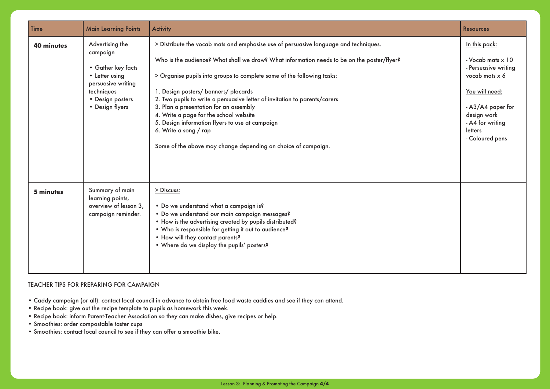| Time       | <b>Main Learning Points</b>                                                                                                                    | <b>Activity</b>                                                                                                                                                                                                                                                                                                                                                                                                                                                                                                                                                                                                     | <b>Resources</b>                                                                                                                                                                     |
|------------|------------------------------------------------------------------------------------------------------------------------------------------------|---------------------------------------------------------------------------------------------------------------------------------------------------------------------------------------------------------------------------------------------------------------------------------------------------------------------------------------------------------------------------------------------------------------------------------------------------------------------------------------------------------------------------------------------------------------------------------------------------------------------|--------------------------------------------------------------------------------------------------------------------------------------------------------------------------------------|
| 40 minutes | Advertising the<br>campaign<br>• Gather key facts<br>• Letter using<br>persuasive writing<br>techniques<br>• Design posters<br>• Design flyers | > Distribute the vocab mats and emphasise use of persuasive language and techniques.<br>Who is the audience? What shall we draw? What information needs to be on the poster/flyer?<br>> Organise pupils into groups to complete some of the following tasks:<br>1. Design posters/ banners/ placards<br>2. Two pupils to write a persuasive letter of invitation to parents/carers<br>3. Plan a presentation for an assembly<br>4. Write a page for the school website<br>5. Design information flyers to use at campaign<br>6. Write a song / rap<br>Some of the above may change depending on choice of campaign. | In this pack:<br>- Vocab mats x 10<br>- Persuasive writing<br>vocab mats x 6<br>You will need:<br>- A3/A4 paper for<br>design work<br>- A4 for writing<br>letters<br>- Coloured pens |
| 5 minutes  | Summary of main<br>learning points,<br>overview of lesson 3,<br>campaign reminder.                                                             | > Discuss:<br>. Do we understand what a campaign is?<br>· Do we understand our main campaign messages?<br>. How is the advertising created by pupils distributed?<br>. Who is responsible for getting it out to audience?<br>. How will they contact parents?<br>. Where do we display the pupils' posters?                                                                                                                                                                                                                                                                                                         |                                                                                                                                                                                      |

#### TEACHER TIPS FOR PREPARING FOR CAMPAIGN

- Caddy campaign (or all): contact local council in advance to obtain free food waste caddies and see if they can attend.
- Recipe book: give out the recipe template to pupils as homework this week.
- Recipe book: inform Parent-Teacher Association so they can make dishes, give recipes or help.
- Smoothies: order compostable taster cups
- Smoothies: contact local council to see if they can offer a smoothie bike.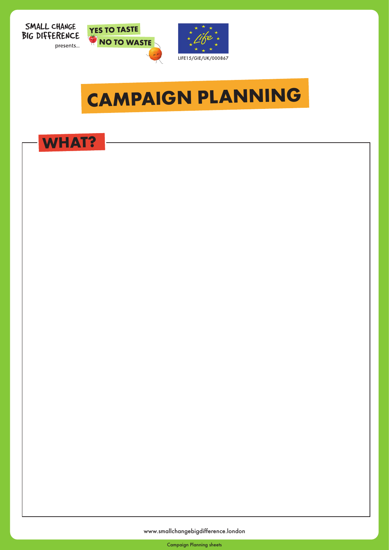





# **CAMPAIGN PLANNING**



www.smallchangebigdifference.london

Campaign Planning sheets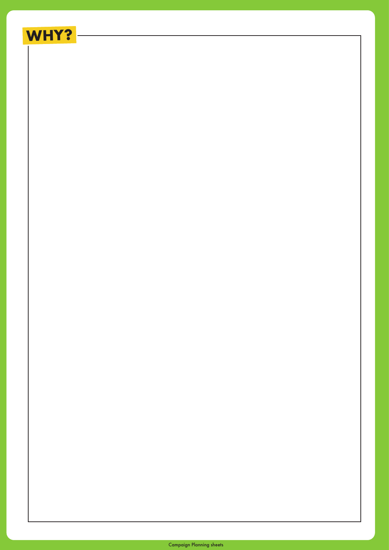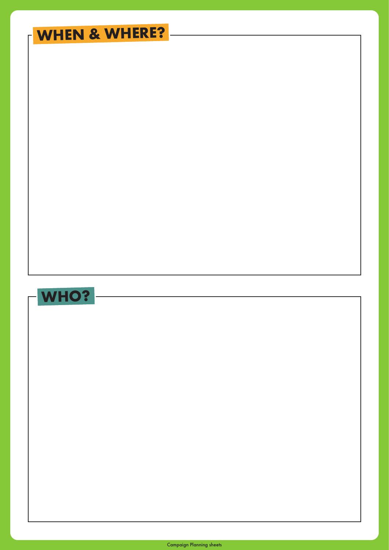# **WHEN & WHERE?**



Campaign Planning sheets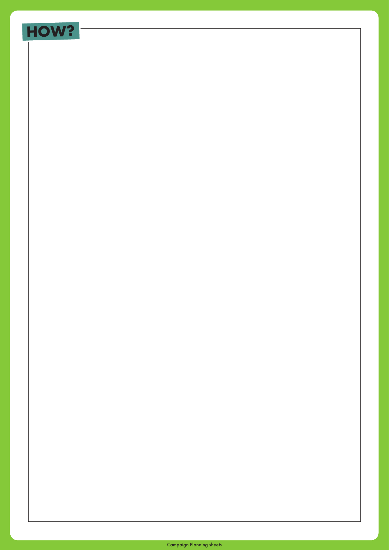# **HOW?**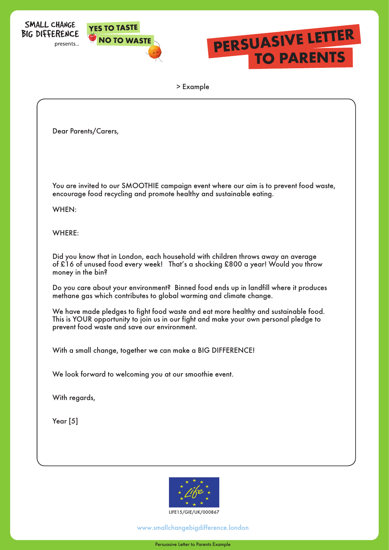





> Example

| Dear Parents/Carers,                                                                                                                                                                                                         |
|------------------------------------------------------------------------------------------------------------------------------------------------------------------------------------------------------------------------------|
| You are invited to our SMOOTHIE campaign event where our aim is to prevent food waste,<br>encourage food recycling and promote healthy and sustainable eating.<br>WHEN:                                                      |
| WHERE:                                                                                                                                                                                                                       |
| Did you know that in London, each household with children throws away an average<br>of £16 of unused food every week! That's a shocking £800 a year! Would you throw<br>money in the bin?                                    |
| Do you care about your environment? Binned food ends up in landfill where it produces<br>methane gas which contributes to global warming and climate change.                                                                 |
| We have made pledges to fight food waste and eat more healthy and sustainable food.<br>This is YOUR opportunity to join us in our fight and make your own personal pledge to<br>prevent food waste and save our environment. |
| With a small change, together we can make a BIG DIFFERENCE!                                                                                                                                                                  |
| We look forward to welcoming you at our smoothie event.                                                                                                                                                                      |
| With regards,                                                                                                                                                                                                                |
| Year $[5]$                                                                                                                                                                                                                   |
|                                                                                                                                                                                                                              |
|                                                                                                                                                                                                                              |



www.smallchangebigdifference.london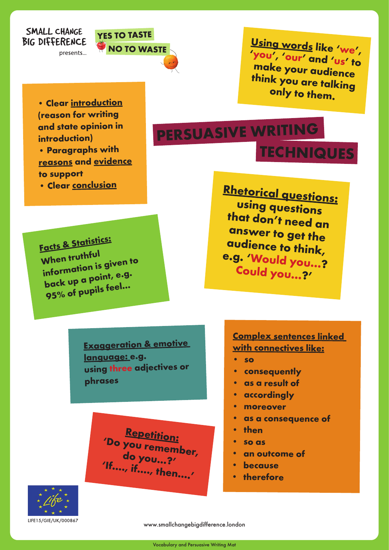### SMALL CHANGE **BIG DIFFERENCE**

presents...

**• Clear introduction (reason for writing and state opinion in** 

**• Paragraphs with reasons and evidence**

**• Clear conclusion**

**introduction)**

**to suppor<sup>t</sup>**



**Using words like 'we', 'you ', 'our' and 'us' to make your audience think you are talking only to them.**

**PERSUASIVE WRITING TECHNIQUES**

**Facts & Statistics: When truthful information is given to back up a point, e.g. 95% of pupils feel…**

**Rhetorical questions: using questions that don't need an answer to get the audience to think, e.g. 'Would you...? Could you…?'** 

**Exaggeration & emotive language: e.g. using three adjectives or phrases**

> **Repetition: 'Do you remember, do you…?' 'If…., if…., then….'**

### **Complex sentences linked with connectives like:**

- **• so**
- **• consequently**
- **• as a result of**
- **• accordingly**
- **• moreover**
- **• as a consequence of**
- **• then**
- **• so as**
- **• an outcome of**
- **because**
- **• therefore**



www.smallchangebigdifference.london